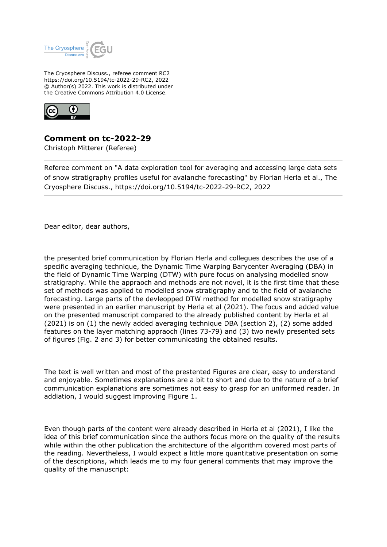

The Cryosphere Discuss., referee comment RC2 https://doi.org/10.5194/tc-2022-29-RC2, 2022 © Author(s) 2022. This work is distributed under the Creative Commons Attribution 4.0 License.



**Comment on tc-2022-29**

Christoph Mitterer (Referee)

Referee comment on "A data exploration tool for averaging and accessing large data sets of snow stratigraphy profiles useful for avalanche forecasting" by Florian Herla et al., The Cryosphere Discuss., https://doi.org/10.5194/tc-2022-29-RC2, 2022

Dear editor, dear authors,

the presented brief communication by Florian Herla and collegues describes the use of a specific averaging technique, the Dynamic Time Warping Barycenter Averaging (DBA) in the field of Dynamic Time Warping (DTW) with pure focus on analysing modelled snow stratigraphy. While the appraoch and methods are not novel, it is the first time that these set of methods was applied to modelled snow stratigraphy and to the field of avalanche forecasting. Large parts of the devleopped DTW method for modelled snow stratigraphy were presented in an earlier manuscript by Herla et al (2021). The focus and added value on the presented manuscript compared to the already published content by Herla et al (2021) is on (1) the newly added averaging technique DBA (section 2), (2) some added features on the layer matching appraoch (lines 73-79) and (3) two newly presented sets of figures (Fig. 2 and 3) for better communicating the obtained results.

The text is well written and most of the prestented Figures are clear, easy to understand and enjoyable. Sometimes explanations are a bit to short and due to the nature of a brief communication explanations are sometimes not easy to grasp for an uniformed reader. In addiation, I would suggest improving Figure 1.

Even though parts of the content were already described in Herla et al (2021), I like the idea of this brief communication since the authors focus more on the quality of the results while within the other publication the architecture of the algorithm covered most parts of the reading. Nevertheless, I would expect a little more quantitative presentation on some of the descriptions, which leads me to my four general comments that may improve the quality of the manuscript: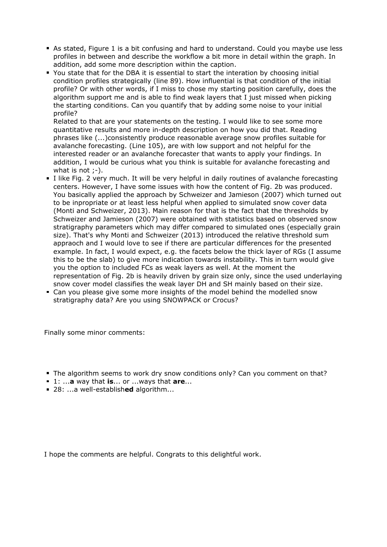- As stated, Figure 1 is a bit confusing and hard to understand. Could you maybe use less profiles in between and describe the workflow a bit more in detail within the graph. In addition, add some more description within the caption.
- You state that for the DBA it is essential to start the interation by choosing initial condition profiles strategically (line 89). How influential is that condition of the initial profile? Or with other words, if I miss to chose my starting position carefully, does the algorithm support me and is able to find weak layers that I just missed when picking the starting conditions. Can you quantify that by adding some noise to your initial profile?

Related to that are your statements on the testing. I would like to see some more quantitative results and more in-depth description on how you did that. Reading phrases like (...)consistently produce reasonable average snow profiles suitable for avalanche forecasting. (Line 105), are with low support and not helpful for the interested reader or an avalanche forecaster that wants to apply your findings. In addition, I would be curious what you think is suitable for avalanche forecasting and what is not  $:-$ ).

- I like Fig. 2 very much. It will be very helpful in daily routines of avalanche forecasting centers. However, I have some issues with how the content of Fig. 2b was produced. You basically applied the approach by Schweizer and Jamieson (2007) which turned out to be inpropriate or at least less helpful when applied to simulated snow cover data (Monti and Schweizer, 2013). Main reason for that is the fact that the thresholds by Schweizer and Jamieson (2007) were obtained with statistics based on observed snow stratigraphy parameters which may differ compared to simulated ones (especially grain size). That's why Monti and Schweizer (2013) introduced the relative threshold sum appraoch and I would love to see if there are particular differences for the presented example. In fact, I would expect, e.g. the facets below the thick layer of RGs (I assume this to be the slab) to give more indication towards instability. This in turn would give you the option to included FCs as weak layers as well. At the moment the representation of Fig. 2b is heavily driven by grain size only, since the used underlaying snow cover model classifies the weak layer DH and SH mainly based on their size.
- Can you please give some more insights of the model behind the modelled snow stratigraphy data? Are you using SNOWPACK or Crocus?

Finally some minor comments:

- The algorithm seems to work dry snow conditions only? Can you comment on that?
- 1: ...**a** way that **is**... or ...ways that **are**...
- 28: ...a well-establish**ed** algorithm...

I hope the comments are helpful. Congrats to this delightful work.